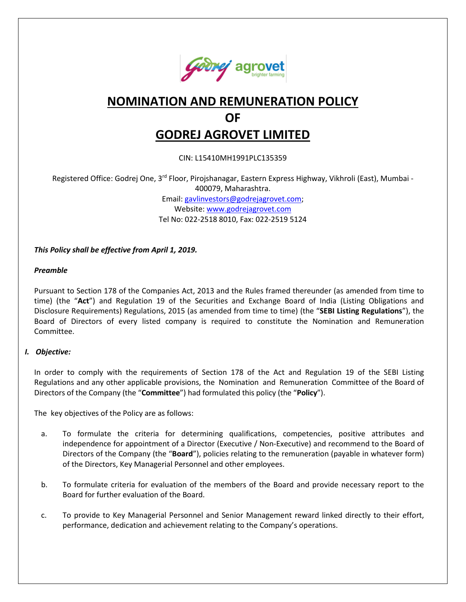

# **NOMINATION AND REMUNERATION POLICY OF GODREJ AGROVET LIMITED**

CIN: L15410MH1991PLC135359

Registered Office: Godrej One, 3<sup>rd</sup> Floor, Pirojshanagar, Eastern Express Highway, Vikhroli (East), Mumbai -400079, Maharashtra. Email: [gavlinvestors@godrejagrovet.com;](mailto:gavlinvestors@godrejagrovet.com) Website[: www.godrejagrovet.com](http://www.godrejagrovet.com/)

Tel No: 022-2518 8010, Fax: 022-2519 5124

*This Policy shall be effective from April 1, 2019.*

#### *Preamble*

Pursuant to Section 178 of the Companies Act, 2013 and the Rules framed thereunder (as amended from time to time) (the "**Act**") and Regulation 19 of the Securities and Exchange Board of India (Listing Obligations and Disclosure Requirements) Regulations, 2015 (as amended from time to time) (the "**SEBI Listing Regulations**"), the Board of Directors of every listed company is required to constitute the Nomination and Remuneration Committee.

#### *I. Objective:*

In order to comply with the requirements of Section 178 of the Act and Regulation 19 of the SEBI Listing Regulations and any other applicable provisions, the Nomination and Remuneration Committee of the Board of Directors of the Company (the "**Committee**") had formulated this policy (the "**Policy**").

The key objectives of the Policy are as follows:

- a. To formulate the criteria for determining qualifications, competencies, positive attributes and independence for appointment of a Director (Executive / Non-Executive) and recommend to the Board of Directors of the Company (the "**Board**"), policies relating to the remuneration (payable in whatever form) of the Directors, Key Managerial Personnel and other employees.
- b. To formulate criteria for evaluation of the members of the Board and provide necessary report to the Board for further evaluation of the Board.
- c. To provide to Key Managerial Personnel and Senior Management reward linked directly to their effort, performance, dedication and achievement relating to the Company's operations.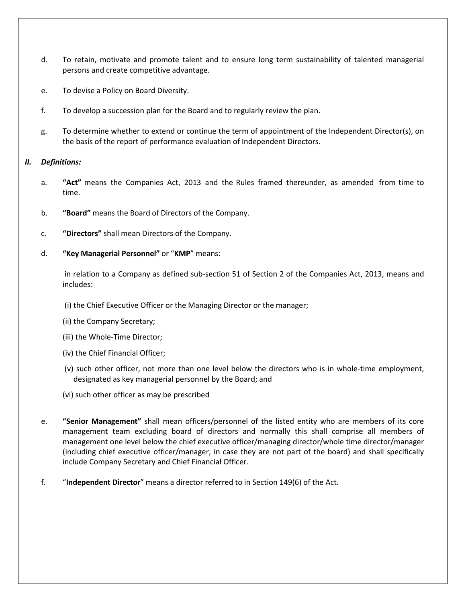- d. To retain, motivate and promote talent and to ensure long term sustainability of talented managerial persons and create competitive advantage.
- e. To devise a Policy on Board Diversity.
- f. To develop a succession plan for the Board and to regularly review the plan.
- g. To determine whether to extend or continue the term of appointment of the Independent Director(s), on the basis of the report of performance evaluation of Independent Directors.

#### *II. Definitions:*

- a. **"Act"** means the Companies Act, 2013 and the Rules framed thereunder, as amended from time to time.
- b. **"Board"** means the Board of Directors of the Company.
- c. **"Directors"** shall mean Directors of the Company.
- d. **"Key Managerial Personnel"** or "**KMP**" means:

in relation to a Company as defined sub-section 51 of Section 2 of the Companies Act, 2013, means and includes:

- (i) the Chief Executive Officer or the Managing Director or the manager;
- (ii) the Company Secretary;
- (iii) the Whole-Time Director;
- (iv) the Chief Financial Officer;
- (v) such other officer, not more than one level below the directors who is in whole-time employment, designated as key managerial personnel by the Board; and
- (vi) such other officer as may be prescribed
- e. **"Senior Management"** shall mean officers/personnel of the listed entity who are members of its core management team excluding board of directors and normally this shall comprise all members of management one level below the chief executive officer/managing director/whole time director/manager (including chief executive officer/manager, in case they are not part of the board) and shall specifically include Company Secretary and Chief Financial Officer.
- f. "**Independent Director**" means a director referred to in Section 149(6) of the Act.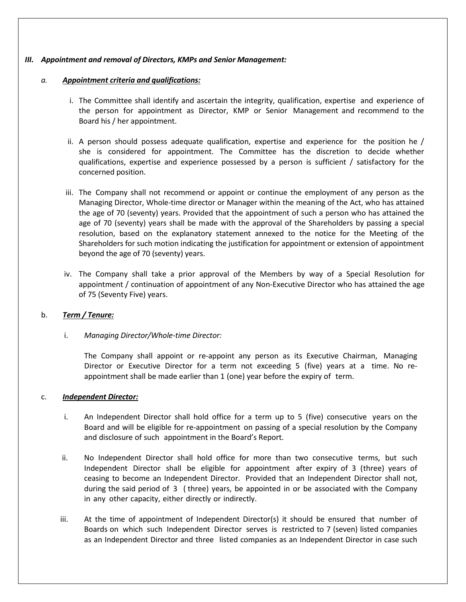#### *III. Appointment and removal of Directors, KMPs and Senior Management:*

#### *a. Appointment criteria and qualifications:*

- i. The Committee shall identify and ascertain the integrity, qualification, expertise and experience of the person for appointment as Director, KMP or Senior Management and recommend to the Board his / her appointment.
- ii. A person should possess adequate qualification, expertise and experience for the position he / she is considered for appointment. The Committee has the discretion to decide whether qualifications, expertise and experience possessed by a person is sufficient / satisfactory for the concerned position.
- iii. The Company shall not recommend or appoint or continue the employment of any person as the Managing Director, Whole-time director or Manager within the meaning of the Act, who has attained the age of 70 (seventy) years. Provided that the appointment of such a person who has attained the age of 70 (seventy) years shall be made with the approval of the Shareholders by passing a special resolution, based on the explanatory statement annexed to the notice for the Meeting of the Shareholders for such motion indicating the justification for appointment or extension of appointment beyond the age of 70 (seventy) years.
- iv. The Company shall take a prior approval of the Members by way of a Special Resolution for appointment / continuation of appointment of any Non-Executive Director who has attained the age of 75 (Seventy Five) years.

#### b. *Term / Tenure:*

i. *Managing Director/Whole-time Director:*

The Company shall appoint or re-appoint any person as its Executive Chairman, Managing Director or Executive Director for a term not exceeding 5 (five) years at a time. No reappointment shall be made earlier than 1 (one) year before the expiry of term.

#### c. *Independent Director:*

- i. An Independent Director shall hold office for a term up to 5 (five) consecutive years on the Board and will be eligible for re-appointment on passing of a special resolution by the Company and disclosure of such appointment in the Board's Report.
- ii. No Independent Director shall hold office for more than two consecutive terms, but such Independent Director shall be eligible for appointment after expiry of 3 (three) years of ceasing to become an Independent Director. Provided that an Independent Director shall not, during the said period of 3 ( three) years, be appointed in or be associated with the Company in any other capacity, either directly or indirectly.
- iii. At the time of appointment of Independent Director(s) it should be ensured that number of Boards on which such Independent Director serves is restricted to 7 (seven) listed companies as an Independent Director and three listed companies as an Independent Director in case such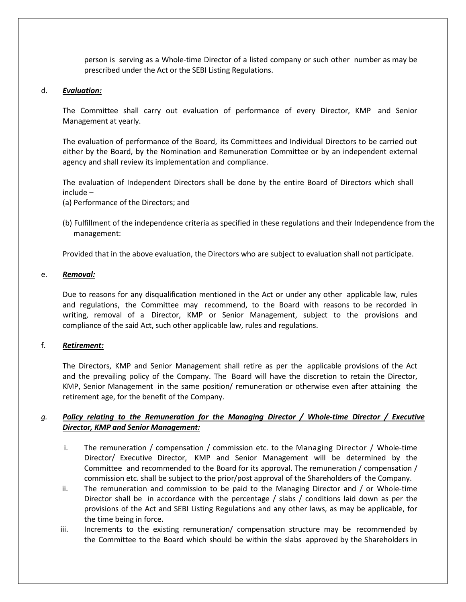person is serving as a Whole-time Director of a listed company or such other number as may be prescribed under the Act or the SEBI Listing Regulations.

#### d. *Evaluation:*

The Committee shall carry out evaluation of performance of every Director, KMP and Senior Management at yearly.

The evaluation of performance of the Board, its Committees and Individual Directors to be carried out either by the Board, by the Nomination and Remuneration Committee or by an independent external agency and shall review its implementation and compliance.

The evaluation of Independent Directors shall be done by the entire Board of Directors which shall include –

(a) Performance of the Directors; and

(b) Fulfillment of the independence criteria as specified in these regulations and their Independence from the management:

Provided that in the above evaluation, the Directors who are subject to evaluation shall not participate.

#### e. *Removal:*

Due to reasons for any disqualification mentioned in the Act or under any other applicable law, rules and regulations, the Committee may recommend, to the Board with reasons to be recorded in writing, removal of a Director, KMP or Senior Management, subject to the provisions and compliance of the said Act, such other applicable law, rules and regulations.

#### f. *Retirement:*

The Directors, KMP and Senior Management shall retire as per the applicable provisions of the Act and the prevailing policy of the Company. The Board will have the discretion to retain the Director, KMP, Senior Management in the same position/ remuneration or otherwise even after attaining the retirement age, for the benefit of the Company.

# *g. Policy relating to the Remuneration for the Managing Director / Whole-time Director / Executive Director, KMP and Senior Management:*

- i. The remuneration / compensation / commission etc. to the Managing Director / Whole-time Director/ Executive Director, KMP and Senior Management will be determined by the Committee and recommended to the Board for its approval. The remuneration / compensation / commission etc. shall be subject to the prior/post approval of the Shareholders of the Company.
- ii. The remuneration and commission to be paid to the Managing Director and / or Whole-time Director shall be in accordance with the percentage / slabs / conditions laid down as per the provisions of the Act and SEBI Listing Regulations and any other laws, as may be applicable, for the time being in force.
- iii. Increments to the existing remuneration/ compensation structure may be recommended by the Committee to the Board which should be within the slabs approved by the Shareholders in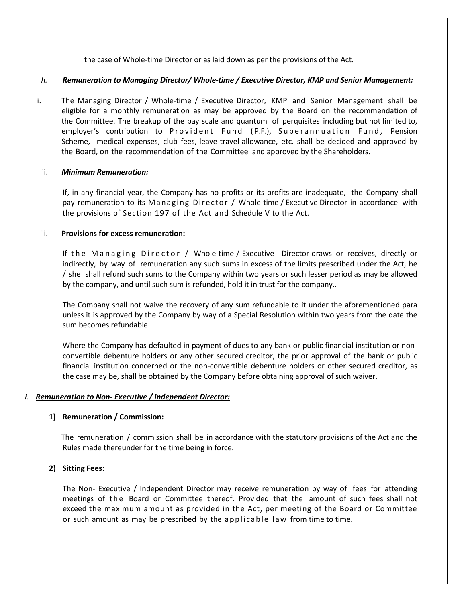the case of Whole-time Director or as laid down as per the provisions of the Act.

#### *h. Remuneration to Managing Director/ Whole-time / Executive Director, KMP and Senior Management:*

i. The Managing Director / Whole-time / Executive Director, KMP and Senior Management shall be eligible for a monthly remuneration as may be approved by the Board on the recommendation of the Committee. The breakup of the pay scale and quantum of perquisites including but not limited to, employer's contribution to Provident Fund ( P.F.), Superannuation Fund, Pension Scheme, medical expenses, club fees, leave travel allowance, etc. shall be decided and approved by the Board, on the recommendation of the Committee and approved by the Shareholders.

#### ii. *Minimum Remuneration:*

If, in any financial year, the Company has no profits or its profits are inadequate, the Company shall pay remuneration to its Managing Director / Whole-time / Executive Director in accordance with the provisions of Section 197 of the Act and Schedule V to the Act.

#### iii. **Provisions for excess remuneration:**

If the Managing Director / Whole-time / Executive - Director draws or receives, directly or indirectly, by way of remuneration any such sums in excess of the limits prescribed under the Act, he / she shall refund such sums to the Company within two years or such lesser period as may be allowed by the company, and until such sum is refunded, hold it in trust for the company..

The Company shall not waive the recovery of any sum refundable to it under the aforementioned para unless it is approved by the Company by way of a Special Resolution within two years from the date the sum becomes refundable.

Where the Company has defaulted in payment of dues to any bank or public financial institution or nonconvertible debenture holders or any other secured creditor, the prior approval of the bank or public financial institution concerned or the non-convertible debenture holders or other secured creditor, as the case may be, shall be obtained by the Company before obtaining approval of such waiver.

#### *i. Remuneration to Non- Executive / Independent Director:*

#### **1) Remuneration / Commission:**

The remuneration / commission shall be in accordance with the statutory provisions of the Act and the Rules made thereunder for the time being in force.

#### **2) Sitting Fees:**

The Non- Executive / Independent Director may receive remuneration by way of fees for attending meetings of the Board or Committee thereof. Provided that the amount of such fees shall not exceed the maximum amount as provided in the Act, per meeting of the Board or Committee or such amount as may be prescribed by the applicable law from time to time.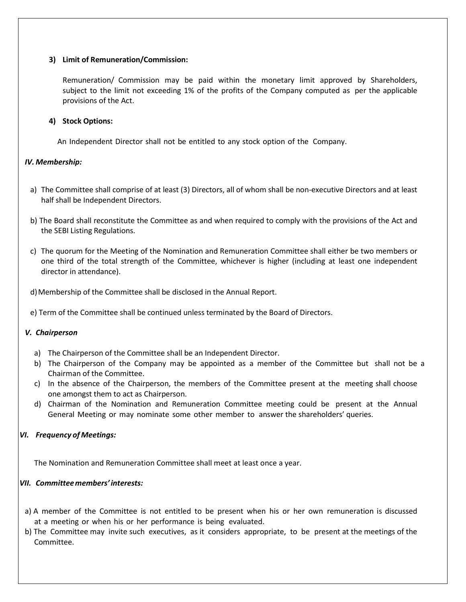#### **3) Limit of Remuneration/Commission:**

Remuneration/ Commission may be paid within the monetary limit approved by Shareholders, subject to the limit not exceeding 1% of the profits of the Company computed as per the applicable provisions of the Act.

# **4) Stock Options:**

An Independent Director shall not be entitled to any stock option of the Company.

# *IV. Membership:*

- a) The Committee shall comprise of at least (3) Directors, all of whom shall be non-executive Directors and at least half shall be Independent Directors.
- b) The Board shall reconstitute the Committee as and when required to comply with the provisions of the Act and the SEBI Listing Regulations.
- c) The quorum for the Meeting of the Nomination and Remuneration Committee shall either be two members or one third of the total strength of the Committee, whichever is higher (including at least one independent director in attendance).
- d)Membership of the Committee shall be disclosed in the Annual Report.
- e) Term of the Committee shall be continued unless terminated by the Board of Directors.

#### *V. Chairperson*

- a) The Chairperson of the Committee shall be an Independent Director.
- b) The Chairperson of the Company may be appointed as a member of the Committee but shall not be a Chairman of the Committee.
- c) In the absence of the Chairperson, the members of the Committee present at the meeting shall choose one amongst them to act as Chairperson.
- d) Chairman of the Nomination and Remuneration Committee meeting could be present at the Annual General Meeting or may nominate some other member to answer the shareholders' queries.

# *VI. Frequency of Meetings:*

The Nomination and Remuneration Committee shall meet at least once a year.

#### *VII. Committeemembers' interests:*

- a) A member of the Committee is not entitled to be present when his or her own remuneration is discussed at a meeting or when his or her performance is being evaluated.
- b) The Committee may invite such executives, as it considers appropriate, to be present at the meetings of the Committee.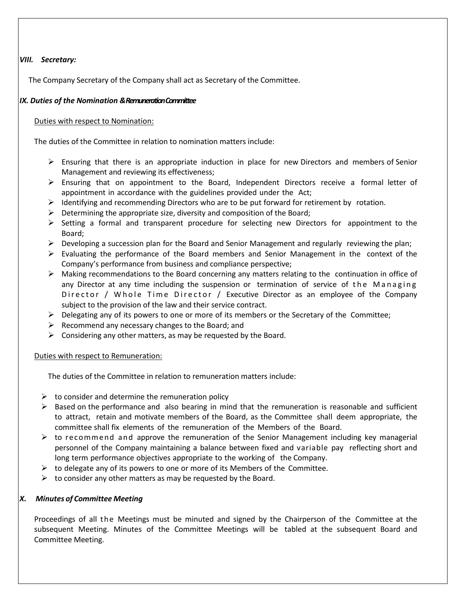# *VIII. Secretary:*

The Company Secretary of the Company shall act as Secretary of the Committee.

#### *IX. Duties of the Nomination & Remuneration Committee*

#### Duties with respect to Nomination:

The duties of the Committee in relation to nomination matters include:

- $\triangleright$  Ensuring that there is an appropriate induction in place for new Directors and members of Senior Management and reviewing its effectiveness;
- $\triangleright$  Ensuring that on appointment to the Board, Independent Directors receive a formal letter of appointment in accordance with the guidelines provided under the Act;
- $\triangleright$  Identifying and recommending Directors who are to be put forward for retirement by rotation.
- $\triangleright$  Determining the appropriate size, diversity and composition of the Board;
- $\triangleright$  Setting a formal and transparent procedure for selecting new Directors for appointment to the Board;
- $\triangleright$  Developing a succession plan for the Board and Senior Management and regularly reviewing the plan;
- $\triangleright$  Evaluating the performance of the Board members and Senior Management in the context of the Company's performance from business and compliance perspective;
- $\triangleright$  Making recommendations to the Board concerning any matters relating to the continuation in office of any Director at any time including the suspension or termination of service of the Managing Director / Whole Time Director / Executive Director as an employee of the Company subject to the provision of the law and their service contract.
- $\triangleright$  Delegating any of its powers to one or more of its members or the Secretary of the Committee;
- $\triangleright$  Recommend any necessary changes to the Board; and
- $\triangleright$  Considering any other matters, as may be requested by the Board.

#### Duties with respect to Remuneration:

The duties of the Committee in relation to remuneration matters include:

- $\triangleright$  to consider and determine the remuneration policy
- $\triangleright$  Based on the performance and also bearing in mind that the remuneration is reasonable and sufficient to attract, retain and motivate members of the Board, as the Committee shall deem appropriate, the committee shall fix elements of the remuneration of the Members of the Board.
- $\triangleright$  to recommend and approve the remuneration of the Senior Management including key managerial personnel of the Company maintaining a balance between fixed and variable pay reflecting short and long term performance objectives appropriate to the working of the Company.
- $\triangleright$  to delegate any of its powers to one or more of its Members of the Committee.
- $\triangleright$  to consider any other matters as may be requested by the Board.

#### *X. Minutes of Committee Meeting*

Proceedings of all the Meetings must be minuted and signed by the Chairperson of the Committee at the subsequent Meeting. Minutes of the Committee Meetings will be tabled at the subsequent Board and Committee Meeting.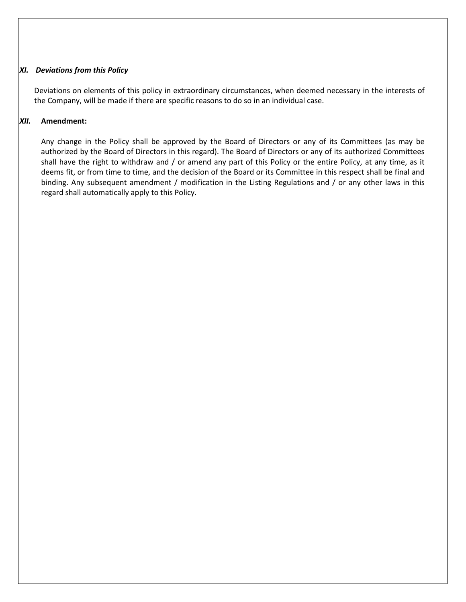#### *XI. Deviations from this Policy*

Deviations on elements of this policy in extraordinary circumstances, when deemed necessary in the interests of the Company, will be made if there are specific reasons to do so in an individual case.

#### *XII.* **Amendment:**

Any change in the Policy shall be approved by the Board of Directors or any of its Committees (as may be authorized by the Board of Directors in this regard). The Board of Directors or any of its authorized Committees shall have the right to withdraw and / or amend any part of this Policy or the entire Policy, at any time, as it deems fit, or from time to time, and the decision of the Board or its Committee in this respect shall be final and binding. Any subsequent amendment / modification in the Listing Regulations and / or any other laws in this regard shall automatically apply to this Policy.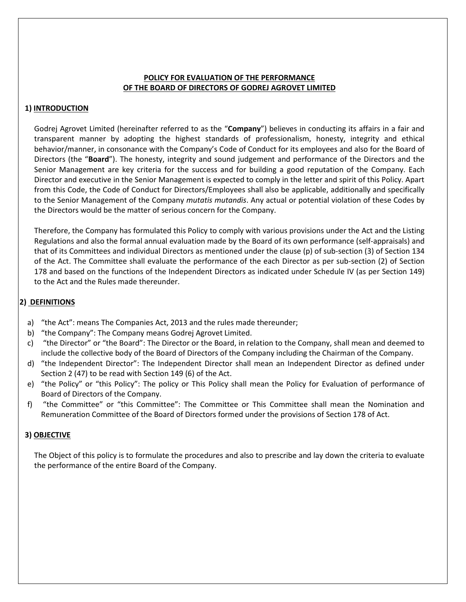#### **POLICY FOR EVALUATION OF THE PERFORMANCE OF THE BOARD OF DIRECTORS OF GODREJ AGROVET LIMITED**

# **1) INTRODUCTION**

Godrej Agrovet Limited (hereinafter referred to as the "**Company**") believes in conducting its affairs in a fair and transparent manner by adopting the highest standards of professionalism, honesty, integrity and ethical behavior/manner, in consonance with the Company's Code of Conduct for its employees and also for the Board of Directors (the "**Board**"). The honesty, integrity and sound judgement and performance of the Directors and the Senior Management are key criteria for the success and for building a good reputation of the Company. Each Director and executive in the Senior Management is expected to comply in the letter and spirit of this Policy. Apart from this Code, the Code of Conduct for Directors/Employees shall also be applicable, additionally and specifically to the Senior Management of the Company *mutatis mutandis*. Any actual or potential violation of these Codes by the Directors would be the matter of serious concern for the Company.

Therefore, the Company has formulated this Policy to comply with various provisions under the Act and the Listing Regulations and also the formal annual evaluation made by the Board of its own performance (self-appraisals) and that of its Committees and individual Directors as mentioned under the clause (p) of sub-section (3) of Section 134 of the Act. The Committee shall evaluate the performance of the each Director as per sub-section (2) of Section 178 and based on the functions of the Independent Directors as indicated under Schedule IV (as per Section 149) to the Act and the Rules made thereunder.

# **2) DEFINITIONS**

- a) "the Act": means The Companies Act, 2013 and the rules made thereunder;
- b) "the Company": The Company means Godrej Agrovet Limited.
- c) "the Director" or "the Board": The Director or the Board, in relation to the Company, shall mean and deemed to include the collective body of the Board of Directors of the Company including the Chairman of the Company.
- d) "the Independent Director": The Independent Director shall mean an Independent Director as defined under Section 2 (47) to be read with Section 149 (6) of the Act.
- e) "the Policy" or "this Policy": The policy or This Policy shall mean the Policy for Evaluation of performance of Board of Directors of the Company.
- f) "the Committee" or "this Committee": The Committee or This Committee shall mean the Nomination and Remuneration Committee of the Board of Directors formed under the provisions of Section 178 of Act.

#### **3) OBJECTIVE**

The Object of this policy is to formulate the procedures and also to prescribe and lay down the criteria to evaluate the performance of the entire Board of the Company.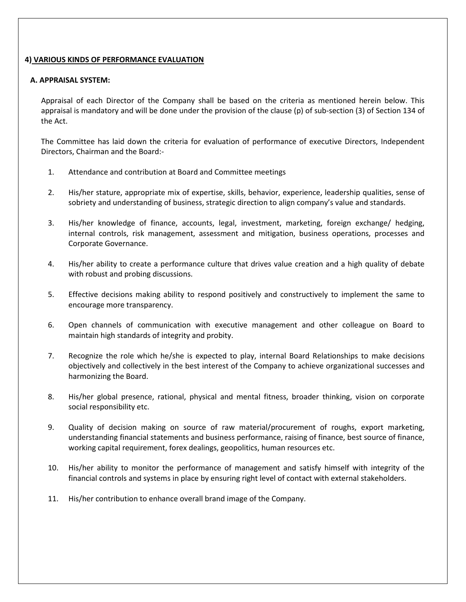#### **4) VARIOUS KINDS OF PERFORMANCE EVALUATION**

#### **A. APPRAISAL SYSTEM:**

Appraisal of each Director of the Company shall be based on the criteria as mentioned herein below. This appraisal is mandatory and will be done under the provision of the clause (p) of sub-section (3) of Section 134 of the Act.

The Committee has laid down the criteria for evaluation of performance of executive Directors, Independent Directors, Chairman and the Board:-

- 1. Attendance and contribution at Board and Committee meetings
- 2. His/her stature, appropriate mix of expertise, skills, behavior, experience, leadership qualities, sense of sobriety and understanding of business, strategic direction to align company's value and standards.
- 3. His/her knowledge of finance, accounts, legal, investment, marketing, foreign exchange/ hedging, internal controls, risk management, assessment and mitigation, business operations, processes and Corporate Governance.
- 4. His/her ability to create a performance culture that drives value creation and a high quality of debate with robust and probing discussions.
- 5. Effective decisions making ability to respond positively and constructively to implement the same to encourage more transparency.
- 6. Open channels of communication with executive management and other colleague on Board to maintain high standards of integrity and probity.
- 7. Recognize the role which he/she is expected to play, internal Board Relationships to make decisions objectively and collectively in the best interest of the Company to achieve organizational successes and harmonizing the Board.
- 8. His/her global presence, rational, physical and mental fitness, broader thinking, vision on corporate social responsibility etc.
- 9. Quality of decision making on source of raw material/procurement of roughs, export marketing, understanding financial statements and business performance, raising of finance, best source of finance, working capital requirement, forex dealings, geopolitics, human resources etc.
- 10. His/her ability to monitor the performance of management and satisfy himself with integrity of the financial controls and systems in place by ensuring right level of contact with external stakeholders.
- 11. His/her contribution to enhance overall brand image of the Company.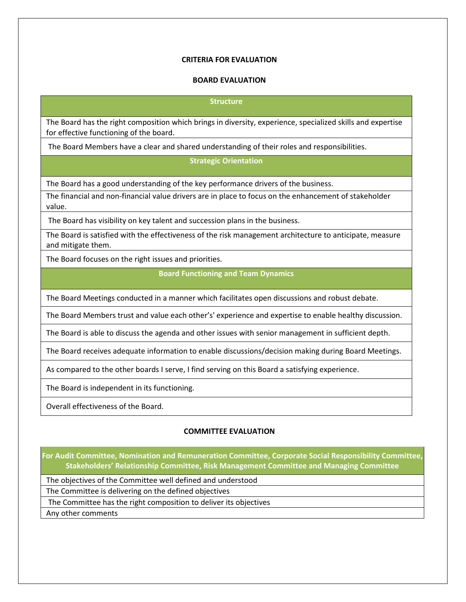#### **CRITERIA FOR EVALUATION**

#### **BOARD EVALUATION**

#### **Structure**

The Board has the right composition which brings in diversity, experience, specialized skills and expertise for effective functioning of the board.

The Board Members have a clear and shared understanding of their roles and responsibilities.

#### **Strategic Orientation**

The Board has a good understanding of the key performance drivers of the business.

The financial and non-financial value drivers are in place to focus on the enhancement of stakeholder value.

The Board has visibility on key talent and succession plans in the business.

The Board is satisfied with the effectiveness of the risk management architecture to anticipate, measure and mitigate them.

The Board focuses on the right issues and priorities.

#### **Board Functioning and Team Dynamics**

The Board Meetings conducted in a manner which facilitates open discussions and robust debate.

The Board Members trust and value each other's' experience and expertise to enable healthy discussion.

The Board is able to discuss the agenda and other issues with senior management in sufficient depth.

The Board receives adequate information to enable discussions/decision making during Board Meetings.

As compared to the other boards I serve, I find serving on this Board a satisfying experience.

The Board is independent in its functioning.

Overall effectiveness of the Board.

#### **COMMITTEE EVALUATION**

**For Audit Committee, Nomination and Remuneration Committee, Corporate Social Responsibility Committee, Stakeholders' Relationship Committee, Risk Management Committee and Managing Committee**

The objectives of the Committee well defined and understood

The Committee is delivering on the defined objectives

The Committee has the right composition to deliver its objectives

Any other comments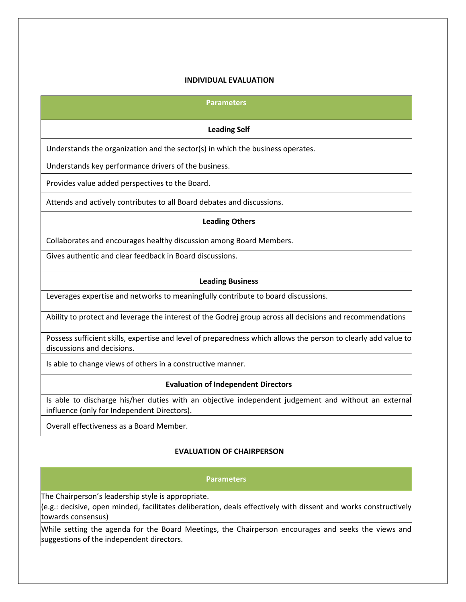#### **INDIVIDUAL EVALUATION**

#### **Parameters**

#### **Leading Self**

Understands the organization and the sector(s) in which the business operates.

Understands key performance drivers of the business.

Provides value added perspectives to the Board.

Attends and actively contributes to all Board debates and discussions.

#### **Leading Others**

Collaborates and encourages healthy discussion among Board Members.

Gives authentic and clear feedback in Board discussions.

#### **Leading Business**

Leverages expertise and networks to meaningfully contribute to board discussions.

Ability to protect and leverage the interest of the Godrej group across all decisions and recommendations

Possess sufficient skills, expertise and level of preparedness which allows the person to clearly add value to discussions and decisions.

Is able to change views of others in a constructive manner.

#### **Evaluation of Independent Directors**

Is able to discharge his/her duties with an objective independent judgement and without an external influence (only for Independent Directors).

Overall effectiveness as a Board Member.

#### **EVALUATION OF CHAIRPERSON**

# **Parameters** The Chairperson's leadership style is appropriate. (e.g.: decisive, open minded, facilitates deliberation, deals effectively with dissent and works constructively towards consensus) While setting the agenda for the Board Meetings, the Chairperson encourages and seeks the views and suggestions of the independent directors.